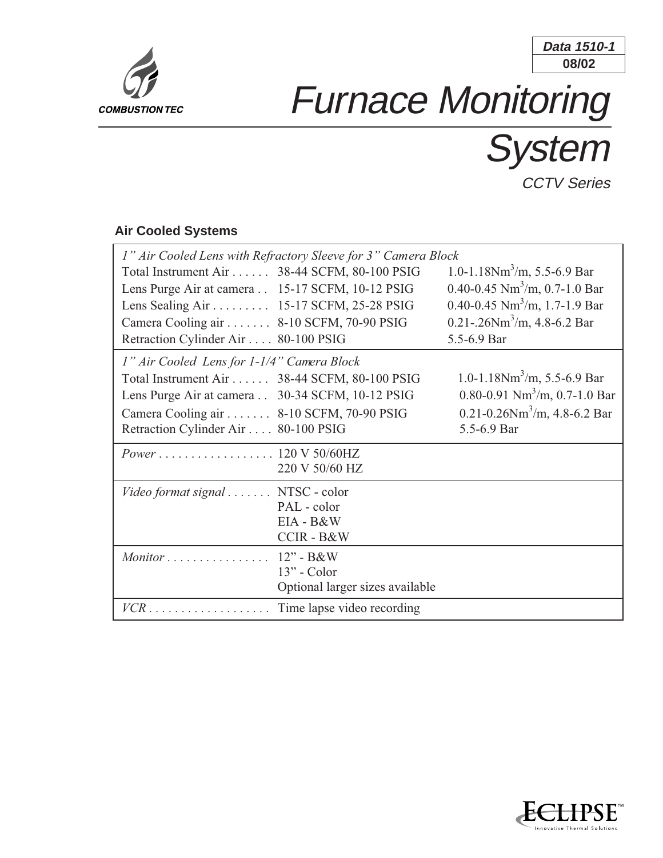

## **08/02 Data 1510-1**

## Furnace Monitoring

System

**CCTV Series** 

## **Air Cooled Systems**

| 1" Air Cooled Lens with Refractory Sleeve for 3" Camera Block |                                 |                                               |
|---------------------------------------------------------------|---------------------------------|-----------------------------------------------|
| Total Instrument Air 38-44 SCFM, 80-100 PSIG                  |                                 | 1.0-1.18Nm <sup>3</sup> /m, 5.5-6.9 Bar       |
| Lens Purge Air at camera 15-17 SCFM, 10-12 PSIG               |                                 | 0.40-0.45 $Nm3/m$ , 0.7-1.0 Bar               |
| Lens Sealing Air 15-17 SCFM, 25-28 PSIG                       |                                 | 0.40-0.45 $Nm3/m$ , 1.7-1.9 Bar               |
| Camera Cooling air 8-10 SCFM, 70-90 PSIG                      |                                 | 0.21-.26 $Nm3/m$ , 4.8-6.2 Bar                |
| Retraction Cylinder Air 80-100 PSIG                           |                                 | 5.5-6.9 Bar                                   |
| 1" Air Cooled Lens for 1-1/4" Camera Block                    |                                 |                                               |
| Total Instrument Air 38-44 SCFM, 80-100 PSIG                  |                                 | 1.0-1.18Nm <sup>3</sup> /m, 5.5-6.9 Bar       |
| Lens Purge Air at camera 30-34 SCFM, 10-12 PSIG               |                                 | 0.80-0.91 $Nm^3/m$ , 0.7-1.0 Bar              |
| Camera Cooling air 8-10 SCFM, 70-90 PSIG                      |                                 | $0.21 - 0.26$ Nm <sup>3</sup> /m, 4.8-6.2 Bar |
| Retraction Cylinder Air 80-100 PSIG                           |                                 | 5.5-6.9 Bar                                   |
| <i>Power</i> 120 V 50/60HZ                                    |                                 |                                               |
|                                                               | 220 V 50/60 HZ                  |                                               |
| Video format signal NTSC - color                              |                                 |                                               |
|                                                               | PAL - color                     |                                               |
|                                                               | EIA - B&W                       |                                               |
|                                                               | <b>CCIR-B&amp;W</b>             |                                               |
| Monitor $\ldots \ldots \ldots \ldots \ldots 12$ " - B&W       |                                 |                                               |
|                                                               | $13"$ - Color                   |                                               |
|                                                               | Optional larger sizes available |                                               |
|                                                               |                                 |                                               |

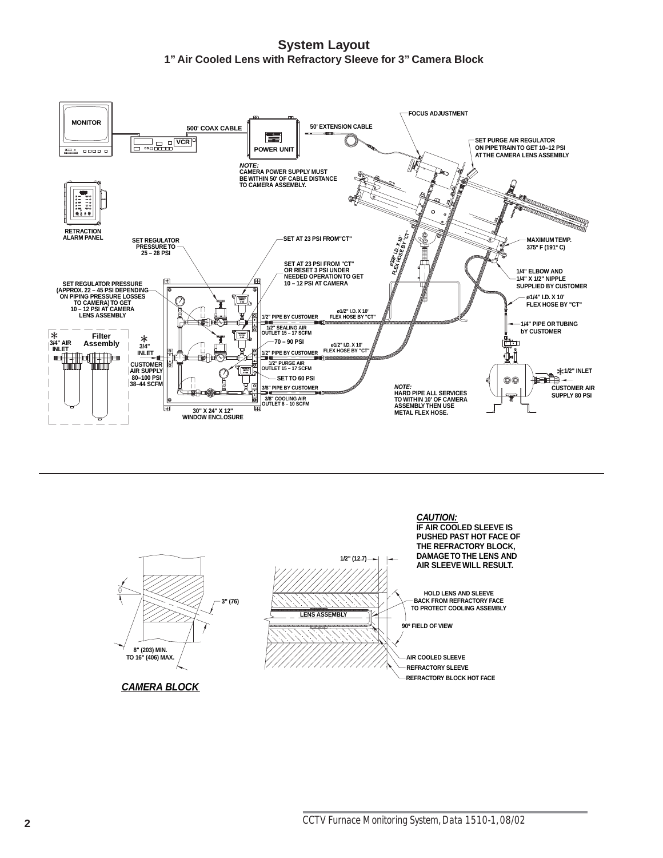**System Layout 1" Air Cooled Lens with Refractory Sleeve for 3" Camera Block**



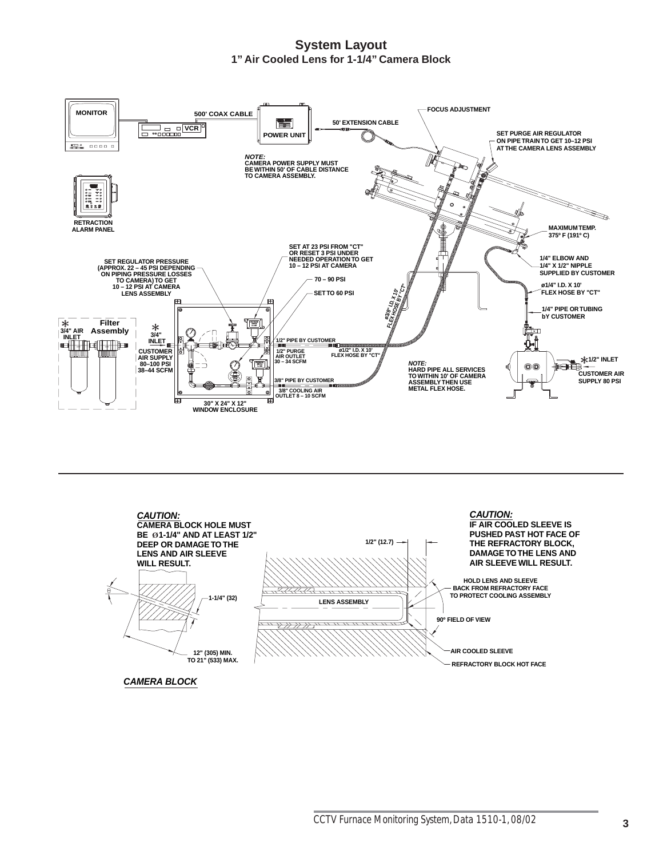**System Layout 1" Air Cooled Lens for 1-1/4" Camera Block**





**CAMERA BLOCK**